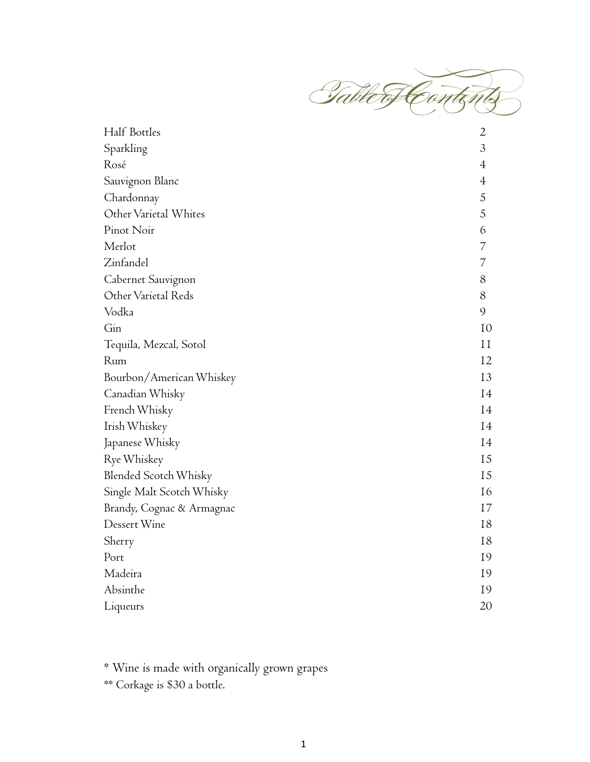

| Half Bottles                 | $\overline{2}$ |
|------------------------------|----------------|
| Sparkling                    | 3              |
| Rosé                         | $\overline{4}$ |
| Sauvignon Blanc              | $\overline{4}$ |
| Chardonnay                   | 5              |
| Other Varietal Whites        | 5              |
| Pinot Noir                   | 6              |
| Merlot                       | $\overline{7}$ |
| Zinfandel                    | 7              |
| Cabernet Sauvignon           | 8              |
| Other Varietal Reds          | 8              |
| Vodka                        | 9              |
| G <sub>in</sub>              | 10             |
| Tequila, Mezcal, Sotol       | 11             |
| Rum                          | 12             |
| Bourbon/American Whiskey     | 13             |
| Canadian Whisky              | 14             |
| French Whisky                | 14             |
| Irish Whiskey                | 14             |
| Japanese Whisky              | 14             |
| Rye Whiskey                  | 15             |
| <b>Blended Scotch Whisky</b> | 15             |
| Single Malt Scotch Whisky    | 16             |
| Brandy, Cognac & Armagnac    | 17             |
| Dessert Wine                 | 18             |
| Sherry                       | 18             |
| Port                         | 19             |
| Madeira                      | 19             |
| Absinthe                     | 19             |
| Liqueurs                     | 20             |

\* Wine is made with organically grown grapes

\*\* Corkage is \$30 a bottle.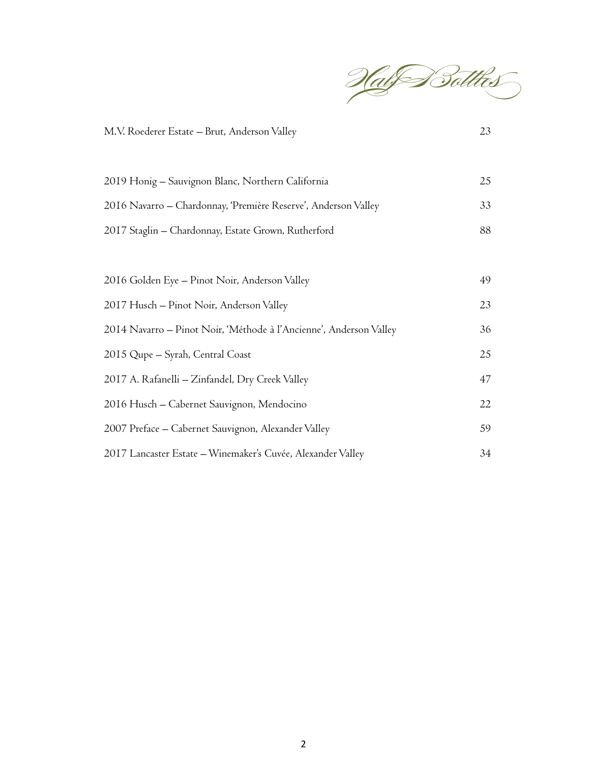

| M.V. Roederer Estate - Brut, Anderson Valley                       | 23 |
|--------------------------------------------------------------------|----|
|                                                                    |    |
| 2019 Honig – Sauvignon Blanc, Northern California                  | 25 |
| 2016 Navarro – Chardonnay, 'Première Reserve', Anderson Valley     | 33 |
| 2017 Staglin - Chardonnay, Estate Grown, Rutherford                | 88 |
|                                                                    |    |
| 2016 Golden Eye - Pinot Noir, Anderson Valley                      | 49 |
| 2017 Husch – Pinot Noir, Anderson Valley                           | 23 |
| 2014 Navarro – Pinot Noir, 'Méthode à l'Ancienne', Anderson Valley | 36 |
| 2015 Qupe – Syrah, Central Coast                                   | 25 |
| 2017 A. Rafanelli - Zinfandel, Dry Creek Valley                    | 47 |
| 2016 Husch - Cabernet Sauvignon, Mendocino                         | 22 |
| 2007 Preface - Cabernet Sauvignon, Alexander Valley                | 59 |
| 2017 Lancaster Estate – Winemaker's Cuvée, Alexander Valley        | 34 |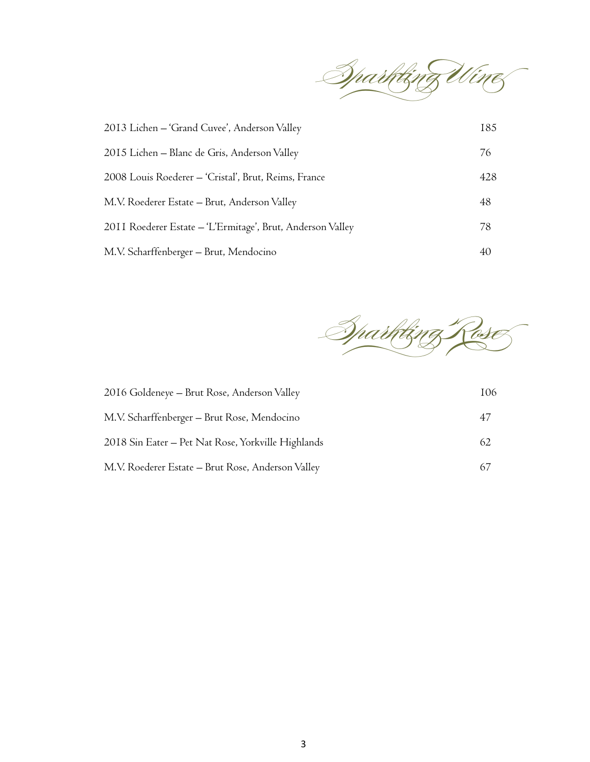

| 2013 Lichen – 'Grand Cuvee', Anderson Valley               | 185 |
|------------------------------------------------------------|-----|
| 2015 Lichen - Blanc de Gris, Anderson Valley               | 76  |
| 2008 Louis Roederer - 'Cristal', Brut, Reims, France       | 428 |
| M.V. Roederer Estate – Brut, Anderson Valley               | 48  |
| 2011 Roederer Estate - 'L'Ermitage', Brut, Anderson Valley | 78  |
| M.V. Scharffenberger – Brut, Mendocino                     | 40  |



| 2016 Goldeneye - Brut Rose, Anderson Valley        | 106 |
|----------------------------------------------------|-----|
| M.V. Scharffenberger - Brut Rose, Mendocino        | 47  |
| 2018 Sin Eater – Pet Nat Rose, Yorkville Highlands | 62  |
| M.V. Roederer Estate - Brut Rose, Anderson Valley  | 67  |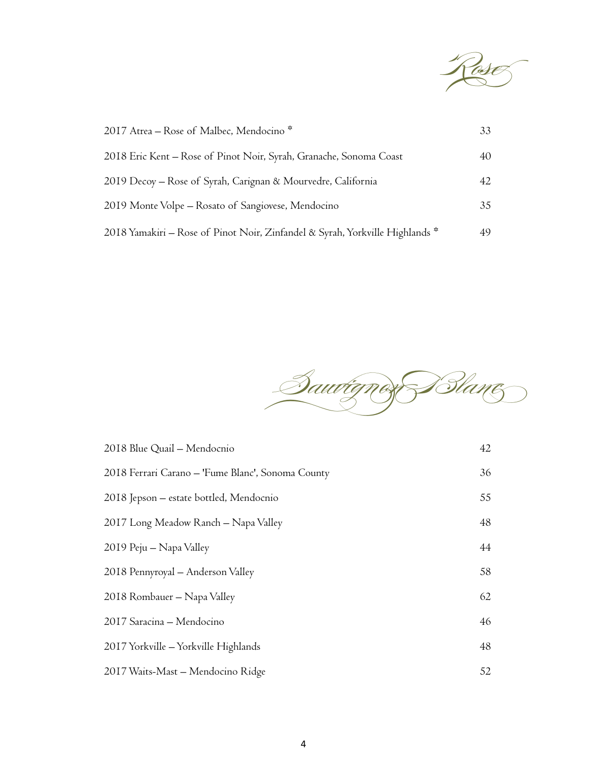

| 2017 Atrea – Rose of Malbec, Mendocino *                                     | 33 |
|------------------------------------------------------------------------------|----|
| 2018 Eric Kent – Rose of Pinot Noir, Syrah, Granache, Sonoma Coast           | 40 |
| 2019 Decoy – Rose of Syrah, Carignan & Mourvedre, California                 | 42 |
| 2019 Monte Volpe – Rosato of Sangiovese, Mendocino                           | 35 |
| 2018 Yamakiri – Rose of Pinot Noir, Zinfandel & Syrah, Yorkville Highlands * |    |
|                                                                              |    |

Sau<del>vignon Blanc</del>

| 2018 Blue Quail - Mendocnio                       | 42 |
|---------------------------------------------------|----|
| 2018 Ferrari Carano - 'Fume Blanc', Sonoma County | 36 |
| 2018 Jepson – estate bottled, Mendocnio           | 55 |
| 2017 Long Meadow Ranch - Napa Valley              | 48 |
| 2019 Peju – Napa Valley                           | 44 |
| 2018 Pennyroyal - Anderson Valley                 | 58 |
| 2018 Rombauer – Napa Valley                       | 62 |
| 2017 Saracina - Mendocino                         | 46 |
| 2017 Yorkville - Yorkville Highlands              | 48 |
| 2017 Waits-Mast - Mendocino Ridge                 | 52 |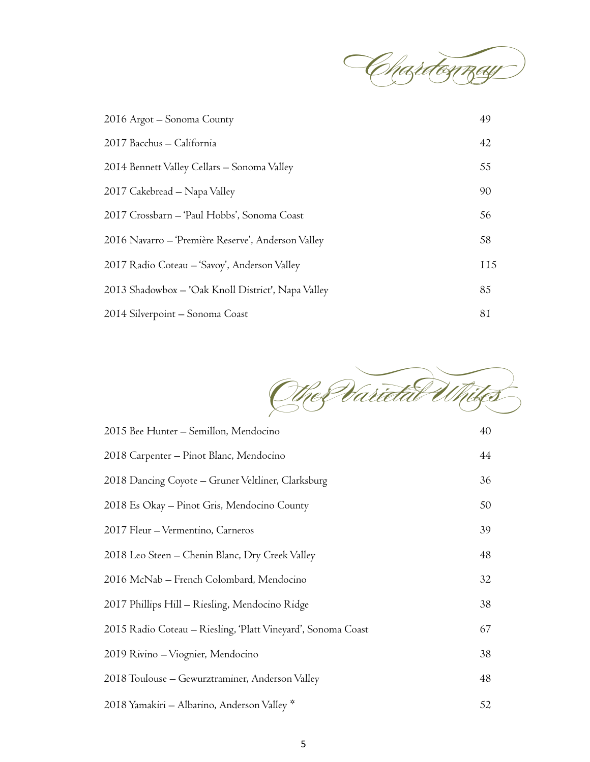

| 2016 Argot - Sonoma County                         | 49              |
|----------------------------------------------------|-----------------|
| 2017 Bacchus - California                          | 42              |
| 2014 Bennett Valley Cellars - Sonoma Valley        | 55              |
| 2017 Cakebread – Napa Valley                       | 90              |
| 2017 Crossbarn - 'Paul Hobbs', Sonoma Coast        | 56              |
| 2016 Navarro – 'Première Reserve', Anderson Valley | 58              |
| 2017 Radio Coteau - 'Savoy', Anderson Valley       | II <sub>5</sub> |
| 2013 Shadowbox - 'Oak Knoll District', Napa Valley | 85              |
| 2014 Silverpoint – Sonoma Coast                    | 81              |



| 2015 Bee Hunter – Semillon, Mendocino                        | 40 |
|--------------------------------------------------------------|----|
| 2018 Carpenter – Pinot Blanc, Mendocino                      | 44 |
| 2018 Dancing Coyote - Gruner Veltliner, Clarksburg           | 36 |
| 2018 Es Okay – Pinot Gris, Mendocino County                  | 50 |
| 2017 Fleur - Vermentino, Carneros                            | 39 |
| 2018 Leo Steen - Chenin Blanc, Dry Creek Valley              | 48 |
| 2016 McNab – French Colombard, Mendocino                     | 32 |
| 2017 Phillips Hill - Riesling, Mendocino Ridge               | 38 |
| 2015 Radio Coteau – Riesling, 'Platt Vineyard', Sonoma Coast | 67 |
| 2019 Rivino – Viognier, Mendocino                            | 38 |
| 2018 Toulouse - Gewurztraminer, Anderson Valley              | 48 |
| 2018 Yamakiri - Albarino, Anderson Valley *                  | 52 |
|                                                              |    |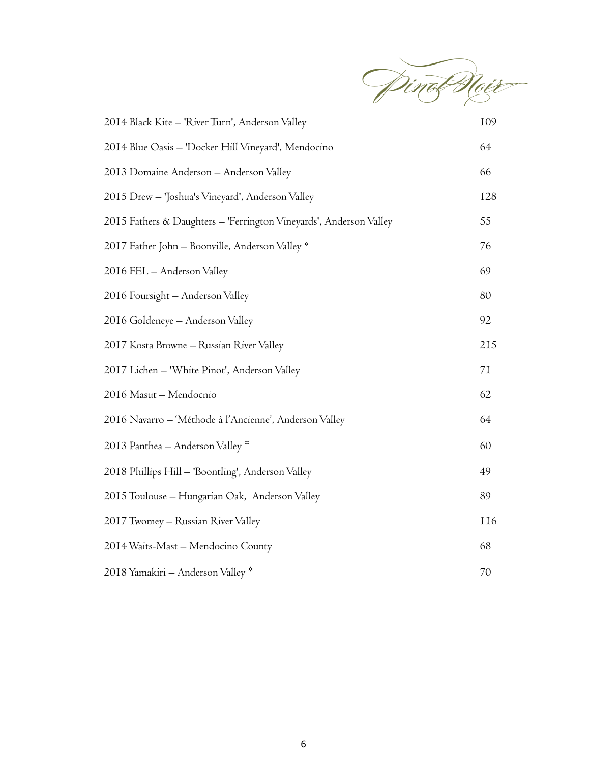

| 2014 Black Kite - 'River Turn', Anderson Valley                    | 109        |
|--------------------------------------------------------------------|------------|
| 2014 Blue Oasis - 'Docker Hill Vineyard', Mendocino                | 64         |
| 2013 Domaine Anderson - Anderson Valley                            | 66         |
| 2015 Drew - 'Joshua's Vineyard', Anderson Valley                   | 128        |
| 2015 Fathers & Daughters - 'Ferrington Vineyards', Anderson Valley | 55         |
| 2017 Father John - Boonville, Anderson Valley *                    | 76         |
| 2016 FEL - Anderson Valley                                         | 69         |
| 2016 Foursight - Anderson Valley                                   | 80         |
| 2016 Goldeneye - Anderson Valley                                   | 92         |
| 2017 Kosta Browne - Russian River Valley                           | 215        |
| 2017 Lichen - 'White Pinot', Anderson Valley                       | 7I         |
| 2016 Masut - Mendocnio                                             | 62         |
| 2016 Navarro – 'Méthode à l'Ancienne', Anderson Valley             | 64         |
| 2013 Panthea - Anderson Valley *                                   | 60         |
| 2018 Phillips Hill - 'Boontling', Anderson Valley                  | 49         |
| 2015 Toulouse - Hungarian Oak, Anderson Valley                     | 89         |
| 2017 Twomey - Russian River Valley                                 | <b>116</b> |
| 2014 Waits-Mast - Mendocino County                                 | 68         |
| 2018 Yamakiri – Anderson Valley *                                  | 70         |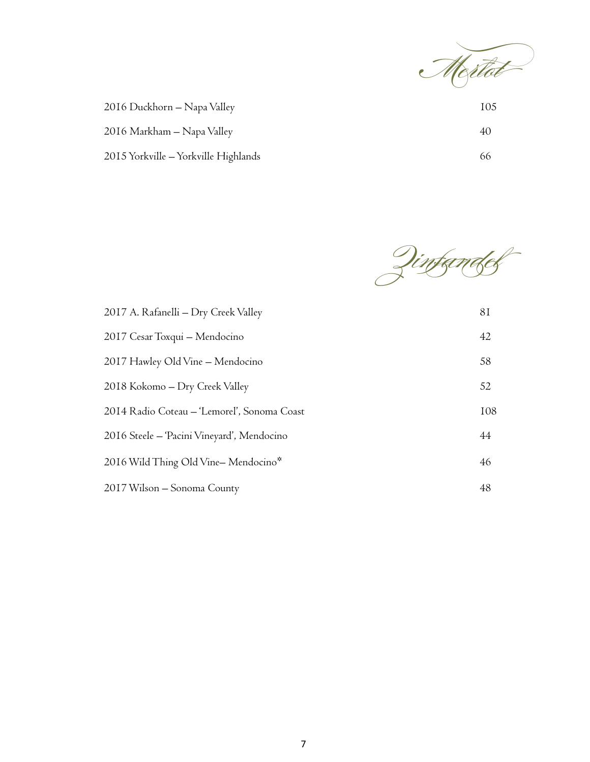

| 2016 Duckhorn – Napa Valley          | 105 |
|--------------------------------------|-----|
| 2016 Markham - Napa Valley           | 40  |
| 2015 Yorkville - Yorkville Highlands | იი  |

Zinfandel

| 2017 A. Rafanelli – Dry Creek Valley        | 81  |
|---------------------------------------------|-----|
| 2017 Cesar Toxqui - Mendocino               | 42  |
| 2017 Hawley Old Vine - Mendocino            | 58  |
| 2018 Kokomo – Dry Creek Valley              | 52  |
| 2014 Radio Coteau – 'Lemorel', Sonoma Coast | 108 |
| 2016 Steele – 'Pacini Vineyard', Mendocino  | 44  |
| 2016 Wild Thing Old Vine-Mendocino*         | 46  |
| 2017 Wilson - Sonoma County                 | 48  |
|                                             |     |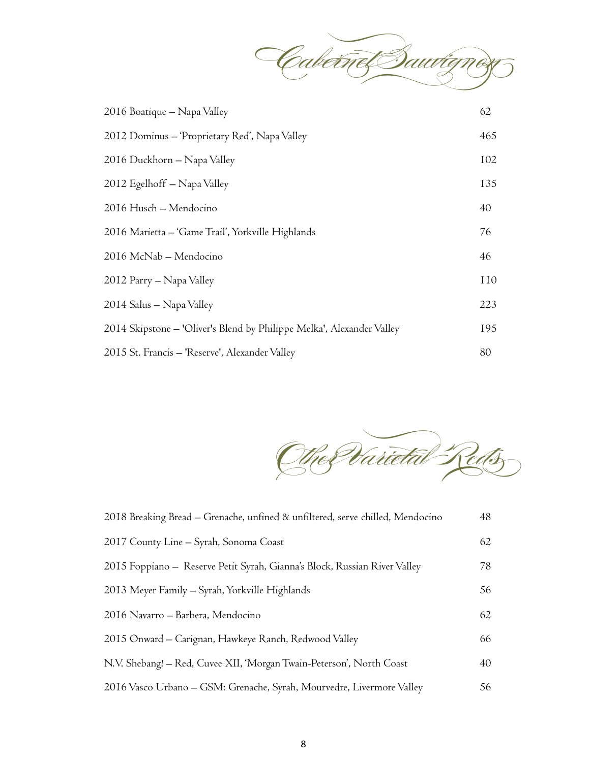

| 2016 Boatique – Napa Valley                                           | 62  |
|-----------------------------------------------------------------------|-----|
| 2012 Dominus – 'Proprietary Red', Napa Valley                         | 465 |
| 2016 Duckhorn - Napa Valley                                           | 102 |
| 2012 Egelhoff – Napa Valley                                           | 135 |
| 2016 Husch – Mendocino                                                | 40  |
| 2016 Marietta – 'Game Trail', Yorkville Highlands                     | 76  |
| 2016 McNab – Mendocino                                                | 46  |
| 2012 Parry - Napa Valley                                              | 110 |
| 2014 Salus — Napa Valley                                              | 223 |
| 2014 Skipstone – 'Oliver's Blend by Philippe Melka', Alexander Valley | 195 |
| 2015 St. Francis – 'Reserve', Alexander Valley                        | 80  |

Other Varietal Reds

| 2018 Breaking Bread – Grenache, unfined & unfiltered, serve chilled, Mendocino | 48 |
|--------------------------------------------------------------------------------|----|
| 2017 County Line - Syrah, Sonoma Coast                                         | 62 |
| 2015 Foppiano - Reserve Petit Syrah, Gianna's Block, Russian River Valley      | 78 |
| 2013 Meyer Family - Syrah, Yorkville Highlands                                 | 56 |
| 2016 Navarro – Barbera, Mendocino                                              | 62 |
| 2015 Onward – Carignan, Hawkeye Ranch, Redwood Valley                          | 66 |
| N.V. Shebang! - Red, Cuvee XII, 'Morgan Twain-Peterson', North Coast           | 40 |
| 2016 Vasco Urbano – GSM: Grenache, Syrah, Mourvedre, Livermore Valley          | 56 |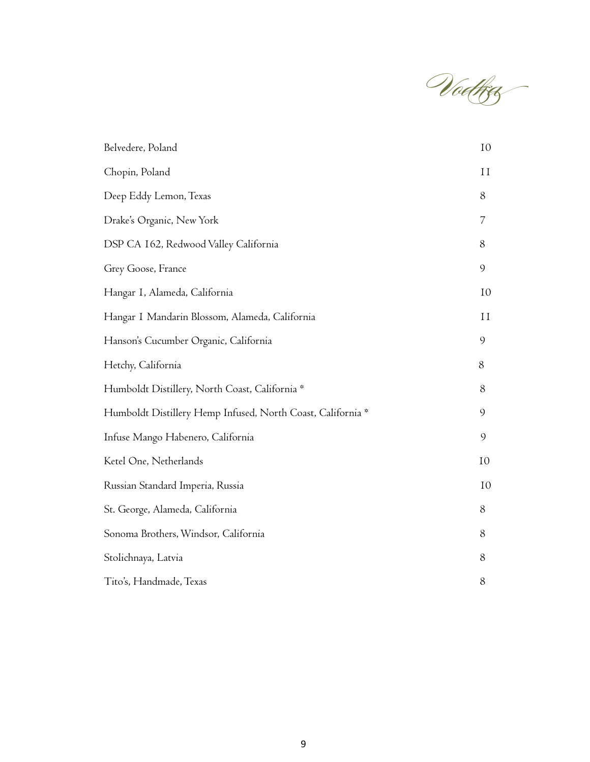Vodka 

| Belvedere, Poland                                           | 10           |
|-------------------------------------------------------------|--------------|
| Chopin, Poland                                              | $\mathbf{I}$ |
| Deep Eddy Lemon, Texas                                      | 8            |
| Drake's Organic, New York                                   | 7            |
| DSP CA 162, Redwood Valley California                       | 8            |
| Grey Goose, France                                          | 9            |
| Hangar I, Alameda, California                               | 10           |
| Hangar I Mandarin Blossom, Alameda, California              | $\mathbf{I}$ |
| Hanson's Cucumber Organic, California                       | 9            |
| Hetchy, California                                          | 8            |
| Humboldt Distillery, North Coast, California *              | 8            |
| Humboldt Distillery Hemp Infused, North Coast, California * | 9            |
| Infuse Mango Habenero, California                           | 9            |
| Ketel One, Netherlands                                      | 10           |
| Russian Standard Imperia, Russia                            | 10           |
| St. George, Alameda, California                             | 8            |
| Sonoma Brothers, Windsor, California                        | 8            |
| Stolichnaya, Latvia                                         | 8            |
| Tito's, Handmade, Texas                                     | 8            |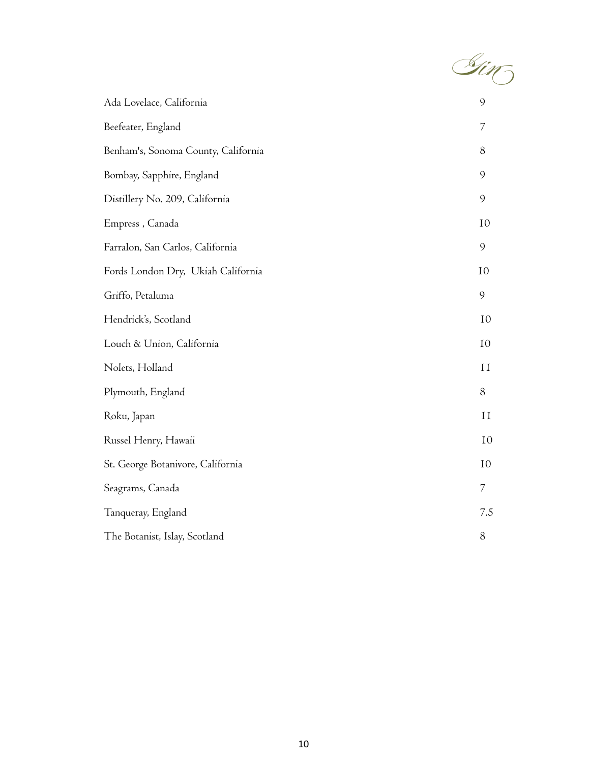

| $\overline{7}$<br>8<br>9<br>9<br>10<br>9<br>10<br>9<br>10<br>10<br>11<br>8<br>II<br>10<br>10<br>$\overline{7}$<br>7.5<br>8 | Ada Lovelace, California            | 9 |
|----------------------------------------------------------------------------------------------------------------------------|-------------------------------------|---|
|                                                                                                                            | Beefeater, England                  |   |
|                                                                                                                            | Benham's, Sonoma County, California |   |
|                                                                                                                            | Bombay, Sapphire, England           |   |
|                                                                                                                            | Distillery No. 209, California      |   |
|                                                                                                                            | Empress, Canada                     |   |
|                                                                                                                            | Farralon, San Carlos, California    |   |
|                                                                                                                            | Fords London Dry, Ukiah California  |   |
|                                                                                                                            | Griffo, Petaluma                    |   |
|                                                                                                                            | Hendrick's, Scotland                |   |
|                                                                                                                            | Louch & Union, California           |   |
|                                                                                                                            | Nolets, Holland                     |   |
|                                                                                                                            | Plymouth, England                   |   |
|                                                                                                                            | Roku, Japan                         |   |
|                                                                                                                            | Russel Henry, Hawaii                |   |
|                                                                                                                            | St. George Botanivore, California   |   |
|                                                                                                                            | Seagrams, Canada                    |   |
|                                                                                                                            | Tanqueray, England                  |   |
|                                                                                                                            | The Botanist, Islay, Scotland       |   |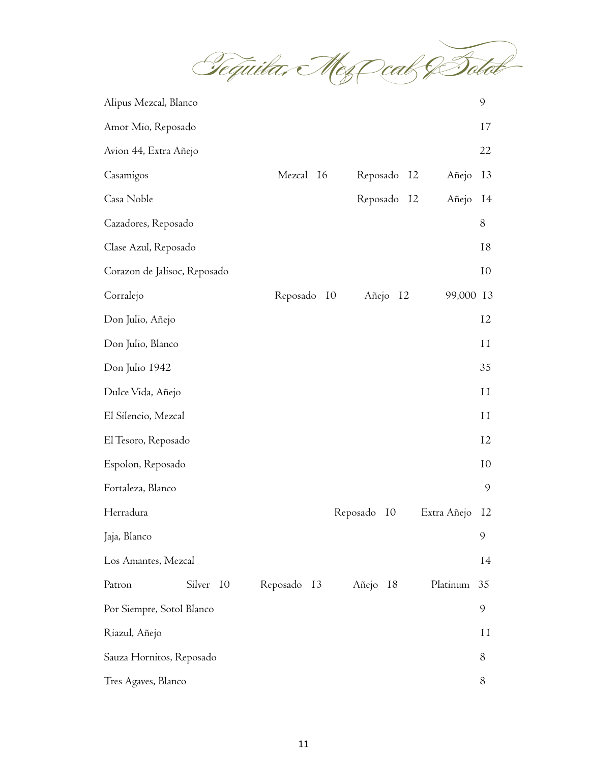Tequila, Mes Cal & Solot

| Alipus Mezcal, Blanco        |           |             |                |             | $\mathcal{Q}$        |
|------------------------------|-----------|-------------|----------------|-------------|----------------------|
| Amor Mio, Reposado           |           |             |                |             | 17                   |
| Avion 44, Extra Añejo        |           |             |                |             | 22                   |
| Casamigos                    |           | Mezcal 16   | Reposado<br>12 | Añejo       | 13                   |
| Casa Noble                   |           |             | Reposado<br>12 | Añejo       | 14                   |
| Cazadores, Reposado          |           |             |                |             | 8                    |
| Clase Azul, Reposado         |           |             |                |             | 18                   |
| Corazon de Jalisoc, Reposado |           |             |                |             | 10                   |
| Corralejo                    |           | Reposado IO | Añejo 12       | 99,000      | 13                   |
| Don Julio, Añejo             |           |             |                |             | 12                   |
| Don Julio, Blanco            |           |             |                |             | 11                   |
| Don Julio 1942               |           |             |                |             | 35                   |
| Dulce Vida, Añejo            |           |             |                |             | 11                   |
| El Silencio, Mezcal          |           |             |                |             | $\scriptstyle\rm II$ |
| El Tesoro, Reposado          |           |             |                |             | 12                   |
| Espolon, Reposado            |           |             |                |             | 10                   |
| Fortaleza, Blanco            |           |             |                |             | $\mathcal{Q}$        |
| Herradura                    |           |             | Reposado<br>10 | Extra Añejo | 12                   |
| Jaja, Blanco                 |           |             |                |             | 9                    |
| Los Amantes, Mezcal          |           |             |                |             | 14                   |
| Patron                       | Silver 10 | Reposado 13 | Añejo 18       | Platinum    | 35                   |
| Por Siempre, Sotol Blanco    |           |             |                |             | 9                    |
| Riazul, Añejo                |           |             |                |             | 11                   |
| Sauza Hornitos, Reposado     |           |             |                |             | 8                    |
| Tres Agaves, Blanco          |           |             |                |             | 8                    |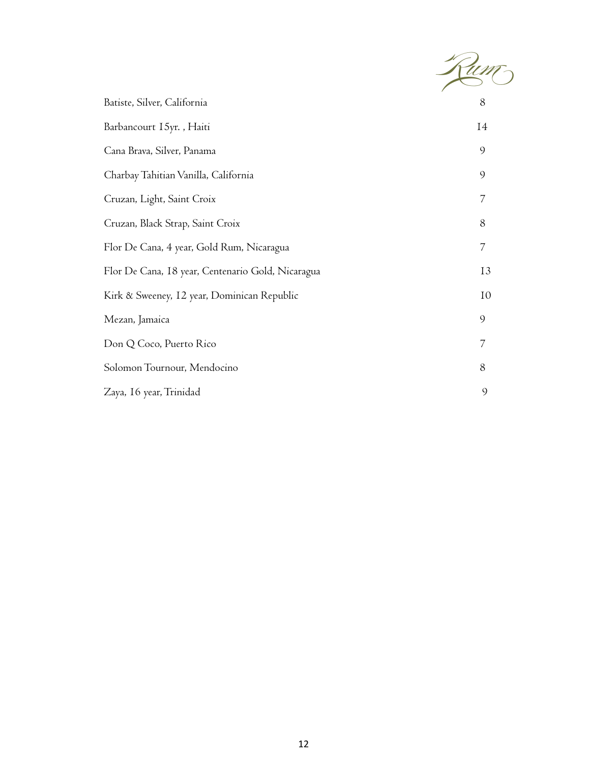

| Batiste, Silver, California                       | 8  |
|---------------------------------------------------|----|
| Barbancourt 15yr., Haiti                          | 14 |
| Cana Brava, Silver, Panama                        | 9  |
| Charbay Tahitian Vanilla, California              | 9  |
| Cruzan, Light, Saint Croix                        | 7  |
| Cruzan, Black Strap, Saint Croix                  | 8  |
| Flor De Cana, 4 year, Gold Rum, Nicaragua         | 7  |
| Flor De Cana, 18 year, Centenario Gold, Nicaragua | 13 |
| Kirk & Sweeney, 12 year, Dominican Republic       | 10 |
| Mezan, Jamaica                                    | 9  |
| Don Q Coco, Puerto Rico                           | 7  |
| Solomon Tournour, Mendocino                       | 8  |
| Zaya, 16 year, Trinidad                           | 9  |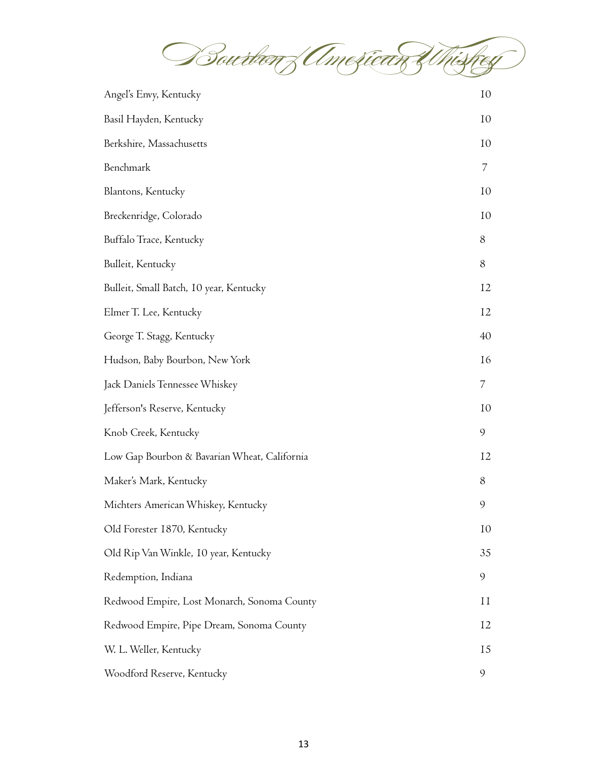

| Angel's Envy, Kentucky                       | 10        |
|----------------------------------------------|-----------|
| Basil Hayden, Kentucky                       | 10        |
| Berkshire, Massachusetts                     | 10        |
| Benchmark                                    | 7         |
| Blantons, Kentucky                           | 10        |
| Breckenridge, Colorado                       | 10        |
| Buffalo Trace, Kentucky                      | 8         |
| Bulleit, Kentucky                            | 8         |
| Bulleit, Small Batch, 10 year, Kentucky      | 12        |
| Elmer T. Lee, Kentucky                       | 12        |
| George T. Stagg, Kentucky                    | 40        |
| Hudson, Baby Bourbon, New York               | <b>16</b> |
| Jack Daniels Tennessee Whiskey               | 7         |
| Jefferson's Reserve, Kentucky                | 10        |
| Knob Creek, Kentucky                         | 9         |
| Low Gap Bourbon & Bavarian Wheat, California | 12        |
| Maker's Mark, Kentucky                       | 8         |
| Michters American Whiskey, Kentucky          | 9         |
| Old Forester 1870, Kentucky                  | 10        |
| Old Rip Van Winkle, 10 year, Kentucky        | 35        |
| Redemption, Indiana                          | 9         |
| Redwood Empire, Lost Monarch, Sonoma County  | 11        |
| Redwood Empire, Pipe Dream, Sonoma County    | 12        |
| W. L. Weller, Kentucky                       | 15        |
| Woodford Reserve, Kentucky                   | 9         |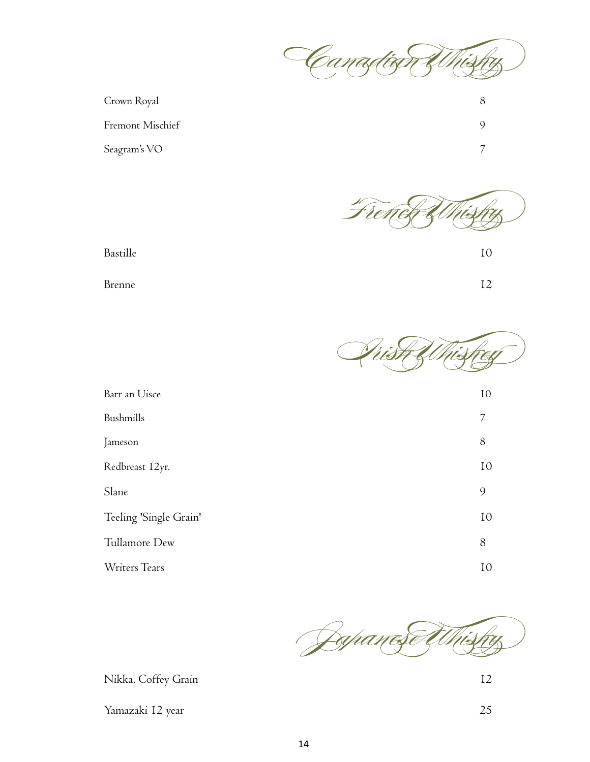

| Crown Royal             |  |
|-------------------------|--|
| <b>Fremont Mischief</b> |  |
| Seagram's VO            |  |



Bastille 10

Brenne 12



| Barr an Uisce          | 10 |
|------------------------|----|
| Bushmills              | 7  |
| Jameson                | 8  |
| Redbreast I2yr.        | 10 |
| Slane                  | 9  |
| Teeling 'Single Grain' | 10 |
| Tullamore Dew          | 8  |
| Writers Tears          | 10 |
|                        |    |



Nikka, Coffey Grain 12

Yamazaki 12 year 25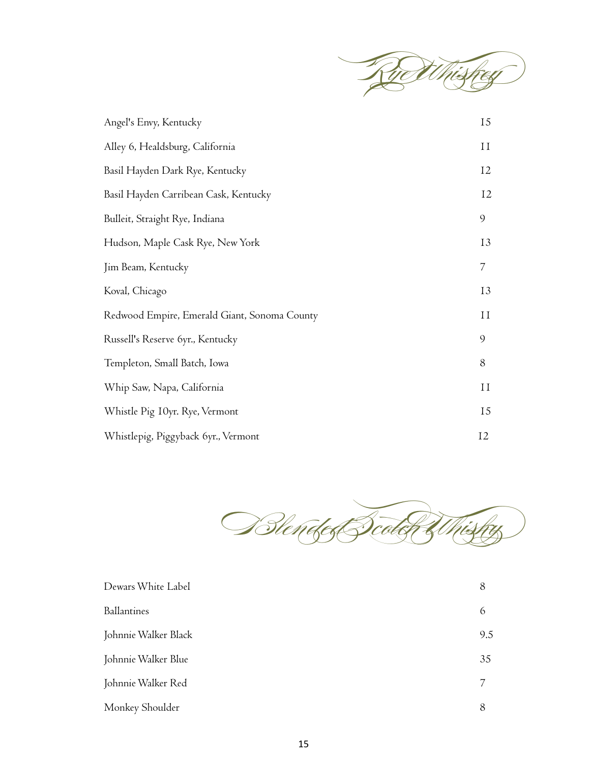

| Angel's Envy, Kentucky                       | <b>I5</b>      |
|----------------------------------------------|----------------|
| Alley 6, Healdsburg, California              | 11             |
| Basil Hayden Dark Rye, Kentucky              | 12             |
| Basil Hayden Carribean Cask, Kentucky        | 12             |
| Bulleit, Straight Rye, Indiana               | 9              |
| Hudson, Maple Cask Rye, New York             | 13             |
| Jim Beam, Kentucky                           | $\overline{7}$ |
| Koval, Chicago                               | 13             |
| Redwood Empire, Emerald Giant, Sonoma County | 11             |
| Russell's Reserve 6yr., Kentucky             | 9              |
| Templeton, Small Batch, Iowa                 | 8              |
| Whip Saw, Napa, California                   | 11             |
| Whistle Pig 10yr. Rye, Vermont               | <b>I5</b>      |
| Whistlepig, Piggyback 6yr., Vermont          | 12             |



| Dewars White Label   | 8   |
|----------------------|-----|
| <b>Ballantines</b>   | 6   |
| Johnnie Walker Black | 9.5 |
| Johnnie Walker Blue  | 35  |
| Johnnie Walker Red   | 7   |
| Monkey Shoulder      | 8   |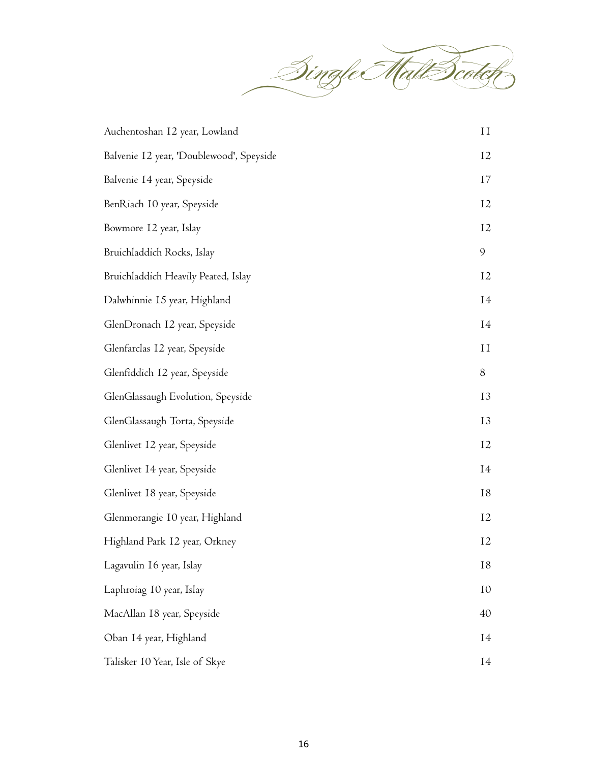Single Malt Scotch

| Auchentoshan 12 year, Lowland            | $\rm II$  |
|------------------------------------------|-----------|
| Balvenie I2 year, 'Doublewood', Speyside | 12        |
| Balvenie 14 year, Speyside               | 17        |
| BenRiach 10 year, Speyside               | 12        |
| Bowmore 12 year, Islay                   | 12        |
| Bruichladdich Rocks, Islay               | 9         |
| Bruichladdich Heavily Peated, Islay      | 12        |
| Dalwhinnie 15 year, Highland             | 14        |
| GlenDronach I2 year, Speyside            | 14        |
| Glenfarclas 12 year, Speyside            | $\rm{II}$ |
| Glenfiddich 12 year, Speyside            | 8         |
| GlenGlassaugh Evolution, Speyside        | 13        |
| GlenGlassaugh Torta, Speyside            | 13        |
| Glenlivet 12 year, Speyside              | 12        |
| Glenlivet 14 year, Speyside              | 14        |
| Glenlivet 18 year, Speyside              | 18        |
| Glenmorangie 10 year, Highland           | 12        |
| Highland Park 12 year, Orkney            | 12        |
| Lagavulin 16 year, Islay                 | 18        |
| Laphroiag 10 year, Islay                 | 10        |
| MacAllan 18 year, Speyside               | 40        |
| Oban 14 year, Highland                   | 14        |
| Talisker 10 Year, Isle of Skye           | I4        |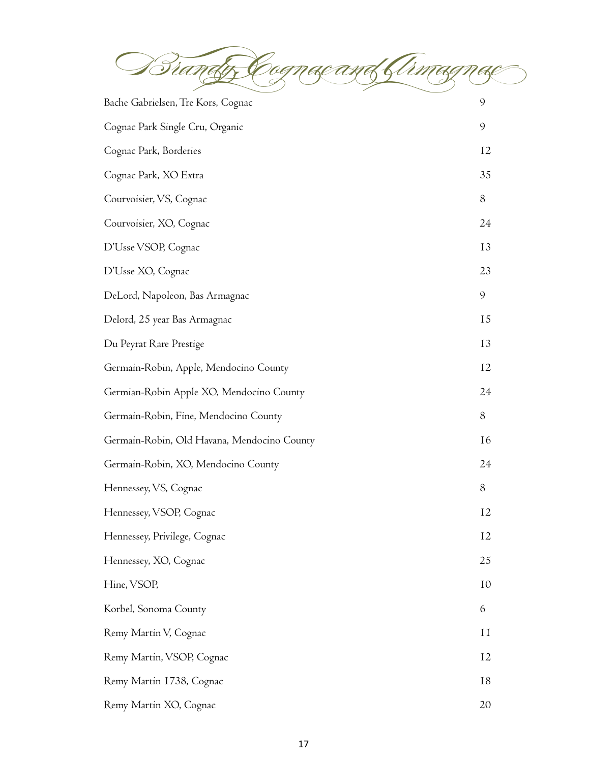Brandy, Cognac and Armagnac  $\triangle$ 

| Bache Gabrielsen, Tre Kors, Cognac          | 9         |
|---------------------------------------------|-----------|
| Cognac Park Single Cru, Organic             | 9         |
| Cognac Park, Borderies                      | 12        |
| Cognac Park, XO Extra                       | 35        |
| Courvoisier, VS, Cognac                     | 8         |
| Courvoisier, XO, Cognac                     | 24        |
| D'Usse VSOP, Cognac                         | 13        |
| D'Usse XO, Cognac                           | 23        |
| DeLord, Napoleon, Bas Armagnac              | 9         |
| Delord, 25 year Bas Armagnac                | 15        |
| Du Peyrat Rare Prestige                     | 13        |
| Germain-Robin, Apple, Mendocino County      | 12        |
| Germian-Robin Apple XO, Mendocino County    | 24        |
| Germain-Robin, Fine, Mendocino County       | 8         |
| Germain-Robin, Old Havana, Mendocino County | <b>16</b> |
| Germain-Robin, XO, Mendocino County         | 24        |
| Hennessey, VS, Cognac                       | 8         |
| Hennessey, VSOP, Cognac                     | 12        |
| Hennessey, Privilege, Cognac                | 12        |
| Hennessey, XO, Cognac                       | 25        |
| Hine, VSOP,                                 | 10        |
| Korbel, Sonoma County                       | 6         |
| Remy Martin V, Cognac                       | 11        |
| Remy Martin, VSOP, Cognac                   | 12        |
| Remy Martin 1738, Cognac                    | 18        |
| Remy Martin XO, Cognac                      | 20        |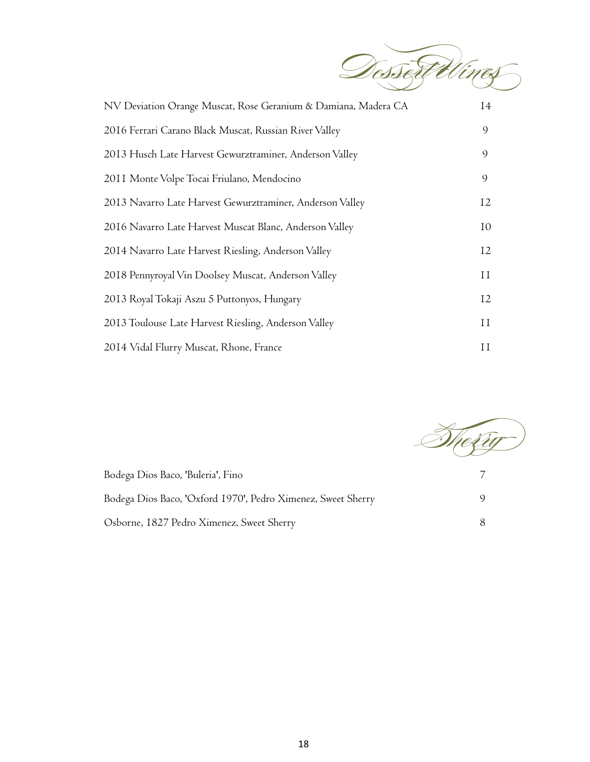Dessert Wines

| NV Deviation Orange Muscat, Rose Geranium & Damiana, Madera CA | 14                   |
|----------------------------------------------------------------|----------------------|
| 2016 Ferrari Carano Black Muscat, Russian River Valley         | 9                    |
| 2013 Husch Late Harvest Gewurztraminer, Anderson Valley        | 9                    |
| 2011 Monte Volpe Tocai Friulano, Mendocino                     | 9                    |
| 2013 Navarro Late Harvest Gewurztraminer, Anderson Valley      | 12                   |
| 2016 Navarro Late Harvest Muscat Blanc, Anderson Valley        | 10                   |
| 2014 Navarro Late Harvest Riesling, Anderson Valley            | 12                   |
| 2018 Pennyroyal Vin Doolsey Muscat, Anderson Valley            | 11                   |
| 2013 Royal Tokaji Aszu 5 Puttonyos, Hungary                    | <sup>12</sup>        |
| 2013 Toulouse Late Harvest Riesling, Anderson Valley           | $\scriptstyle\rm II$ |
| 2014 Vidal Flurry Muscat, Rhone, France                        | $\rm II$             |



| Bodega Dios Baco, 'Buleria', Fino                            |  |
|--------------------------------------------------------------|--|
| Bodega Dios Baco, 'Oxford 1970', Pedro Ximenez, Sweet Sherry |  |
| Osborne, 1827 Pedro Ximenez, Sweet Sherry                    |  |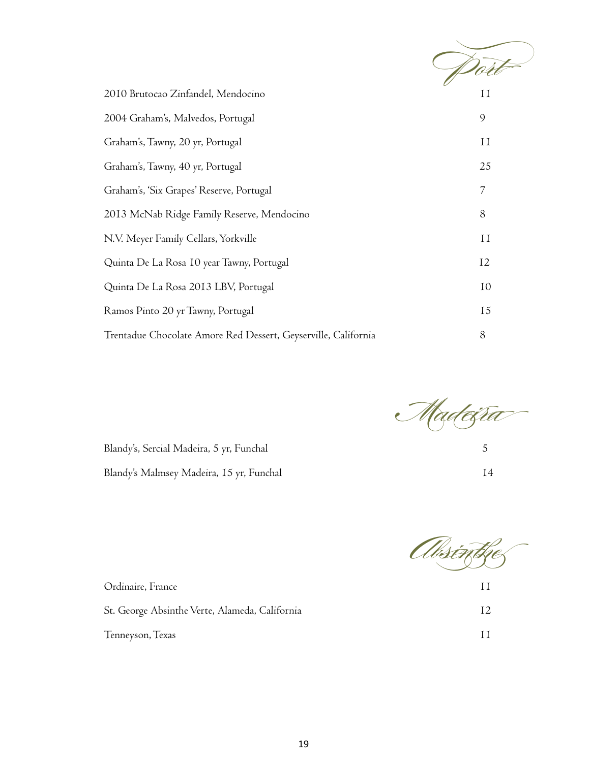| 2010 Brutocao Zinfandel, Mendocino                             | Ħ         |
|----------------------------------------------------------------|-----------|
| 2004 Graham's, Malvedos, Portugal                              | 9         |
| Graham's, Tawny, 20 yr, Portugal                               | 11        |
| Graham's, Tawny, 40 yr, Portugal                               | 25        |
| Graham's, 'Six Grapes' Reserve, Portugal                       | 7         |
| 2013 McNab Ridge Family Reserve, Mendocino                     | 8         |
| N.V. Meyer Family Cellars, Yorkville                           | 11        |
| Quinta De La Rosa 10 year Tawny, Portugal                      | 12        |
| Quinta De La Rosa 2013 LBV, Portugal                           | 10        |
| Ramos Pinto 20 yr Tawny, Portugal                              | <b>15</b> |
| Trentadue Chocolate Amore Red Dessert, Geyserville, California | 8         |

Madei<del>sra</del>

Absinthe  $\overline{\phantom{a}}$ 

| Ordinaire, France                              |  |
|------------------------------------------------|--|
| St. George Absinthe Verte, Alameda, California |  |
| Tenneyson, Texas                               |  |

Blandy's, Sercial Madeira, 5 yr, Funchal 5 Blandy's Malmsey Madeira, 15 yr, Funchal 14